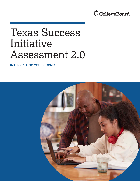

# Texas Success Initiative Assessment 2.0

**INTERPRETING YOUR SCORES** 

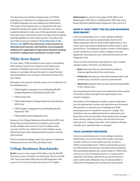The Texas Success Initiative Assessment 2.0 (TSIA2) assesses your readiness for college-level coursework in English language arts and reading and mathematics. The results of the assessment, in conjunction with your academic background, goals, and interests, are used by academic advisers to place you in the appropriate courses that match your achievement level. For high school students seeking eligibility for dual credit courses, counselors will use TSIA2 scores according to **[Texas Education Code,](https://texreg.sos.state.tx.us/public/readtac$ext.TacPage?sl=R&app=9&p_dir=&p_rloc=&p_tloc=&p_ploc=&pg=1&p_tac=&ti=19&pt=1&ch=4&rl=85)  [Section 4.85](https://texreg.sos.state.tx.us/public/readtac$ext.TacPage?sl=R&app=9&p_dir=&p_rloc=&p_tloc=&p_ploc=&pg=1&p_tac=&ti=19&pt=1&ch=4&rl=85)**. **NOTE: Any references in this brochure to developmental courses, interventions, and corequisite models aren't applicable to high school students seeking to enroll in college-level coursework via dual credit.** 

## **TSIA2 Score Report**

In most cases, TSIA2 provides a score report immediately after testing. Use the score report to learn about your academic strengths and areas for improvement. Your adviser or counselor will use the report to make the best recommendations for courses or interventions that meet your needs.

Generally, score reports indicate scores on a combination of the following tests:

- TSIA2 English Language Arts and Reading (ELAR) College Readiness Classification (CRC) Test
- § TSIA2 Essay Test
- TSIA2 Mathematics College Readiness Classification (CRC) Test
- **TSIA2 English Language Arts and Reading (ELAR)** Diagnostic Test
- TSIA2 Mathematics Diagnostic Test

Scores on the College Readiness Classification (CRC) and Essay Tests primarily determine whether you're ready to take college-level courses. If you're college ready, you may enroll in any related entry-level college course without having to take developmental courses or receive interventions.

You're considered college ready if you receive at least the following scores on the CRC and Essay Tests.

## **College Readiness Benchmarks**

**ELAR:** A score in the range of 945–990 on the ELAR CRC Test and a score of at least 5 on the Essay Test or an ELAR CRC Test score below 945 and an ELAR Diagnostic Test score of 5 or 6 and an Essay Test score of 5 or higher.

**Mathematics:** A score in the range of 950–990 on the Mathematics CRC Test or a Mathematics CRC Test score below 950 and a Mathematics Diagnostic Test score of 6.

#### **WHAT IF I DON'T MEET THE COLLEGE READINESS BENCHMARK?**

If you've scored below one or more college readiness benchmarks, you may be automatically routed to the TSIA2 Diagnostic Test for ELAR and/or Mathematics. Your score report will include a diagnostic profile based on your performance. The diagnostic profile consists of descriptors of your proficiency in each content category and your diagnostic level based on your overall performance on the Diagnostic Test.

There are three proficiency descriptors for each content category: Basic, Proficient, and Advanced.

- **Basic** indicates that your performance needs to improve significantly in the content area.
- **Proficient** indicates you have demonstrated skill in the content area, but there's room for improvement.
- **Advanced** indicates that you have well-developed skills in the content area.

Accompanying the descriptors are statements that provide information about strengths and weaknesses in the content category.

Information in the diagnostic profile is used to help place you into appropriate courses and determine any necessary interventions to improve your knowledge and skills and prepare you for academic success in college. Your institution may use additional factors to determine your placement, such as your high school grade point average/ class ranking, other test scores, and courses from your high school or college transcripts. The institution will also consider your selected major or program.

#### **TSIA2 LEARNING RESOURCES**

If you've scored below one or more college readiness benchmarks, your score report will include a Learning Locator Code (LLC), which gives you free access to TSIA2 Learning Resources. TSIA2 Learning Resources is an online library with practice and instructional materials that specifically address the content areas of TSIA2 tests. Use your LLC for immediate access to a custom set of materials in the library specific to your performance in each content area. Materials may include printable or interactive worksheets and tutorials and instructional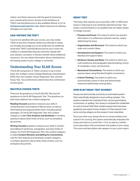videos. Use these resources with the goal of improving your overall performance. Access to the full library of TSIA2 Learning Resources is also available without a LLC at **[tsia2pearsonperspective.com](https://tsia2.pearsonperspective.com/)**. Select resources to address skill gaps you may have.

#### **CAN I RETAKE THE TEST?**

If you're not satisfied with your scores, you may retake TSIA2 at any time. However, before you attempt to retest, we strongly encourage you to set aside time for additional study (see TSIA2 Learning Resources) as your scores are unlikely to substantially improve otherwise. Speak with your adviser, counselor, or faculty member about additional resources. You can obtain information about retesting from the testing center at your college or university.

## **Understanding Your ELAR Scores**

The ELAR component of TSIA2 consists of up to three tests: the multiple-choice College Readiness Classification (CRC) Test, the multiple-choice Diagnostic Test, and the Essay Test. Your performance determines the combination of tests given.

#### **MULTIPLE-CHOICE TESTS**

There are 30 questions on the ELAR CRC Test and 48 questions on the ELAR Diagnostic Test. The questions on both tests address two content categories.

**Reading-focused** questions measure your skills in comprehension and analysis of literary texts, as well as informational and argumentative texts, including paired passages. On the ELAR Diagnostic Test, this content category is called **Text Analysis and Synthesis.** It contains questions about other kinds of texts, such as workplace documents.

**Writing-focused** questions measure your skills in revision and editing of sentences, paragraphs, and early drafts of essays. On the ELAR Diagnostic Test, this content category is called **Content Revision and Editing for Conventions.**  Like the Text Analysis and Synthesis content category, it contains questions about other kinds of texts, such as workplace documents.

#### **ESSAY TEST**

The Essay Test requires you to provide a 300- to 600-word essay in response to one randomly selected prompt. Your essay is scored based on six qualities that are highly valued in college courses:

- **Purpose and Focus:** The extent to which you present information in a unified and coherent manner, clearly addressing the issue.
- § **Organization and Structure:** The extent to which you order and connect ideas.
- **Development and Support:** The extent to which you develop and support ideas.
- **Sentence Variety and Style:** The extent to which you craft sentences and paragraphs demonstrating control of vocabulary, voice, and structure.
- **Mechanical Conventions:** The extent to which you express ideas using Standard English conventions.
- § **Critical Thinking:** The extent to which you communicate a point of view and demonstrate reasoned relationships among ideas.

#### **HOW IS MY ESSAY TEST SCORED?**

Essays are electronically scored by an automated system that's specifically designed to score writing samples. This system evaluates the meaning of text, not just grammatical correctness, or spelling. Your essay is compared for similarities to a set of at least 500 other student essays that have been graded by two expert human readers. It's then placed in the same scoring category as the essays it most resembles.

Once you enter your essay into an on-screen textbox and submit it for scoring, the system automatically evaluates the essay and returns a score from 1 to 8, as well as a holistic score description that summarizes the quality of your essay. The score and description also appear on your score report.